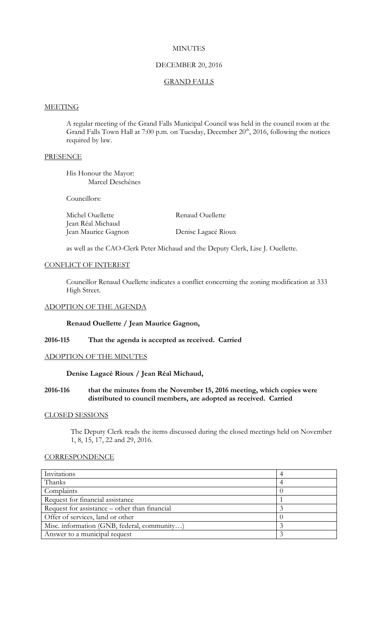## **MINUTES**

# DECEMBER 20, 2016

## GRAND FALLS

### **MEETING**

A regular meeting of the Grand Falls Municipal Council was held in the council room at the Grand Falls Town Hall at 7:00 p.m. on Tuesday, December  $20<sup>th</sup>$ , 2016, following the notices required by law.

## **PRESENCE**

His Honour the Mayor: Marcel Deschênes

Councillors:

| Michel Ouellette    | Renaud Ouellette    |
|---------------------|---------------------|
| Jean Réal Michaud   |                     |
| Jean Maurice Gagnon | Denise Lagacé Rioux |

as well as the CAO-Clerk Peter Michaud and the Deputy Clerk, Lise J. Ouellette.

## CONFLICT OF INTEREST

Councillor Renaud Ouellette indicates a conflict concerning the zoning modification at 333 High Street.

### ADOPTION OF THE AGENDA

**Renaud Ouellette / Jean Maurice Gagnon,**

### **2016-115 That the agenda is accepted as received. Carried**

# ADOPTION OF THE MINUTES

### **Denise Lagacé Rioux / Jean Réal Michaud,**

## **2016-116 that the minutes from the November 15, 2016 meeting, which copies were distributed to council members, are adopted as received. Carried**

### CLOSED SESSIONS

The Deputy Clerk reads the items discussed during the closed meetings held on November 1, 8, 15, 17, 22 and 29, 2016.

# **CORRESPONDENCE**

| Invitations                                   |  |
|-----------------------------------------------|--|
| Thanks                                        |  |
| Complaints                                    |  |
| Request for financial assistance              |  |
| Request for assistance – other than financial |  |
| Offer of services, land or other              |  |
| Misc. information (GNB, federal, community)   |  |
| Answer to a municipal request                 |  |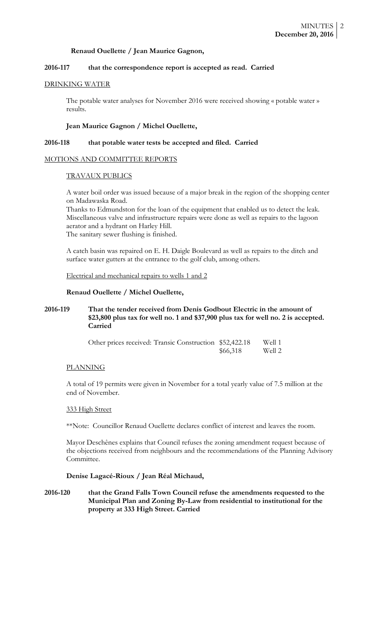## **Renaud Ouellette / Jean Maurice Gagnon,**

# **2016-117 that the correspondence report is accepted as read. Carried**

### DRINKING WATER

The potable water analyses for November 2016 were received showing « potable water » results.

## **Jean Maurice Gagnon / Michel Ouellette,**

## **2016-118 that potable water tests be accepted and filed. Carried**

## MOTIONS AND COMMITTEE REPORTS

## TRAVAUX PUBLICS

A water boil order was issued because of a major break in the region of the shopping center on Madawaska Road.

Thanks to Edmundston for the loan of the equipment that enabled us to detect the leak. Miscellaneous valve and infrastructure repairs were done as well as repairs to the lagoon aerator and a hydrant on Harley Hill. The sanitary sewer flushing is finished.

A catch basin was repaired on E. H. Daigle Boulevard as well as repairs to the ditch and surface water gutters at the entrance to the golf club, among others.

Electrical and mechanical repairs to wells 1 and 2

# **Renaud Ouellette / Michel Ouellette,**

# **2016-119 That the tender received from Denis Godbout Electric in the amount of \$23,800 plus tax for well no. 1 and \$37,900 plus tax for well no. 2 is accepted. Carried**

| Other prices received: Transic Construction \$52,422.18 |          | Well 1 |
|---------------------------------------------------------|----------|--------|
|                                                         | \$66,318 | Well 2 |

# PLANNING

A total of 19 permits were given in November for a total yearly value of 7.5 million at the end of November.

# 333 High Street

\*\*Note: Councillor Renaud Ouellette declares conflict of interest and leaves the room.

Mayor Deschênes explains that Council refuses the zoning amendment request because of the objections received from neighbours and the recommendations of the Planning Advisory Committee.

# **Denise Lagacé-Rioux / Jean Réal Michaud,**

**2016-120 that the Grand Falls Town Council refuse the amendments requested to the Municipal Plan and Zoning By-Law from residential to institutional for the property at 333 High Street. Carried**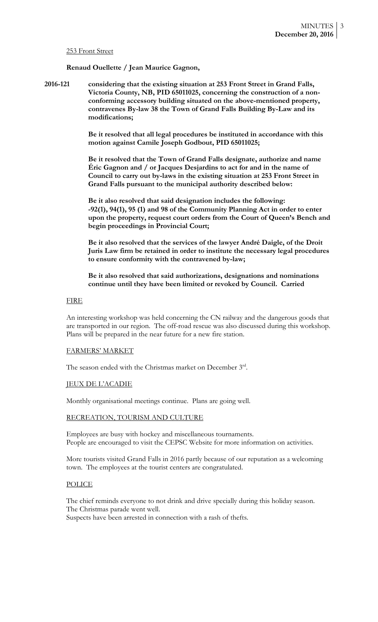#### 253 Front Street

**Renaud Ouellette / Jean Maurice Gagnon,**

**2016-121 considering that the existing situation at 253 Front Street in Grand Falls, Victoria County, NB, PID 65011025, concerning the construction of a nonconforming accessory building situated on the above-mentioned property, contravenes By-law 38 the Town of Grand Falls Building By-Law and its modifications;**

> **Be it resolved that all legal procedures be instituted in accordance with this motion against Camile Joseph Godbout, PID 65011025;**

> **Be it resolved that the Town of Grand Falls designate, authorize and name Éric Gagnon and / or Jacques Desjardins to act for and in the name of Council to carry out by-laws in the existing situation at 253 Front Street in Grand Falls pursuant to the municipal authority described below:**

**Be it also resolved that said designation includes the following: -92(1), 94(1), 95 (1) and 98 of the Community Planning Act in order to enter upon the property, request court orders from the Court of Queen's Bench and begin proceedings in Provincial Court;**

**Be it also resolved that the services of the lawyer André Daigle, of the Droit Juris Law firm be retained in order to institute the necessary legal procedures to ensure conformity with the contravened by-law;**

**Be it also resolved that said authorizations, designations and nominations continue until they have been limited or revoked by Council. Carried**

#### FIRE

An interesting workshop was held concerning the CN railway and the dangerous goods that are transported in our region. The off-road rescue was also discussed during this workshop. Plans will be prepared in the near future for a new fire station.

#### FARMERS' MARKET

The season ended with the Christmas market on December 3rd.

## JEUX DE L'ACADIE

Monthly organisational meetings continue. Plans are going well.

### RECREATION, TOURISM AND CULTURE

Employees are busy with hockey and miscellaneous tournaments. People are encouraged to visit the CEPSC Website for more information on activities.

More tourists visited Grand Falls in 2016 partly because of our reputation as a welcoming town. The employees at the tourist centers are congratulated.

## POLICE

The chief reminds everyone to not drink and drive specially during this holiday season. The Christmas parade went well. Suspects have been arrested in connection with a rash of thefts.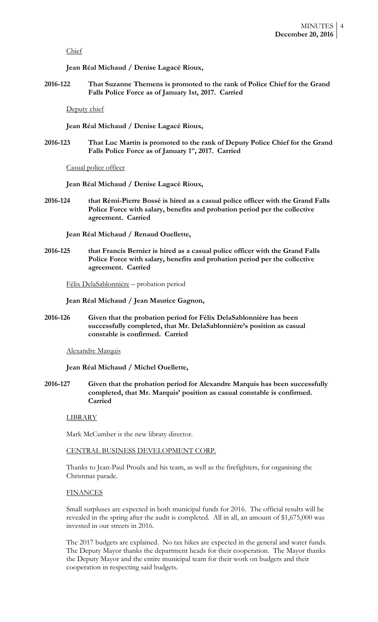### Chief

**Jean Réal Michaud / Denise Lagacé Rioux,**

**2016-122 That Suzanne Themens is promoted to the rank of Police Chief for the Grand Falls Police Force as of January 1st, 2017. Carried**

Deputy chief

**Jean Réal Michaud / Denise Lagacé Rioux,**

**2016-123 That Luc Martin is promoted to the rank of Deputy Police Chief for the Grand Falls Police Force as of January 1st, 2017. Carried**

Casual police officer

**Jean Réal Michaud / Denise Lagacé Rioux,**

**2016-124 that Rémi-Pierre Bossé is hired as a casual police officer with the Grand Falls Police Force with salary, benefits and probation period per the collective agreement. Carried**

**Jean Réal Michaud / Renaud Ouellette,**

**2016-125 that Francis Bernier is hired as a casual police officer with the Grand Falls Police Force with salary, benefits and probation period per the collective agreement. Carried**

Félix DelaSablonnière – probation period

**Jean Réal Michaud / Jean Maurice Gagnon,**

**2016-126 Given that the probation period for Félix DelaSablonnière has been successfully completed, that Mr. DelaSablonnière's position as casual constable is confirmed. Carried**

Alexandre Marquis

**Jean Réal Michaud / Michel Ouellette,**

**2016-127 Given that the probation period for Alexandre Marquis has been successfully completed, that Mr. Marquis' position as casual constable is confirmed. Carried**

LIBRARY

Mark McCumber is the new library director.

CENTRAL BUSINESS DEVELOPMENT CORP.

Thanks to Jean-Paul Proulx and his team, as well as the firefighters, for organising the Christmas parade.

# **FINANCES**

Small surpluses are expected in both municipal funds for 2016. The official results will be revealed in the spring after the audit is completed. All in all, an amount of \$1,675,000 was invested in our streets in 2016.

The 2017 budgets are explained. No tax hikes are expected in the general and water funds. The Deputy Mayor thanks the department heads for their cooperation. The Mayor thanks the Deputy Mayor and the entire municipal team for their work on budgets and their cooperation in respecting said budgets.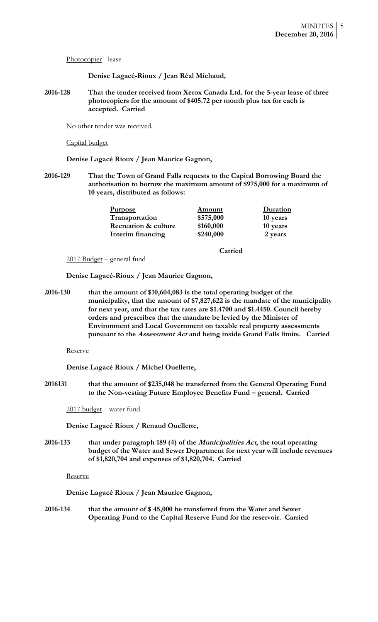Photocopier - lease

**Denise Lagacé-Rioux / Jean Réal Michaud,**

**2016-128 That the tender received from Xerox Canada Ltd. for the 5-year lease of three photocopiers for the amount of \$405.72 per month plus tax for each is accepted. Carried**

No other tender was received.

## Capital budget

**Denise Lagacé Rioux / Jean Maurice Gagnon,**

**2016-129 That the Town of Grand Falls requests to the Capital Borrowing Board the authorisation to borrow the maximum amount of \$975,000 for a maximum of 10 years, distributed as follows:**

| <u>Purpose</u>                  | Amount    | Duration |
|---------------------------------|-----------|----------|
| Transportation                  | \$575,000 | 10 years |
| <b>Recreation &amp; culture</b> | \$160,000 | 10 years |
| Interim financing               | \$240,000 | 2 years  |

**Carried**

2017 Budget – general fund

**Denise Lagacé-Rioux / Jean Maurice Gagnon,**

**2016-130 that the amount of \$10,604,083 is the total operating budget of the municipality, that the amount of \$7,827,622 is the mandate of the municipality for next year, and that the tax rates are \$1.4700 and \$1.4450. Council hereby orders and prescribes that the mandate be levied by the Minister of Environment and Local Government on taxable real property assessments pursuant to the Assessment Act and being inside Grand Falls limits. Carried**

Reserve

**Denise Lagacé Rioux / Michel Ouellette,**

**2016131 that the amount of \$235,048 be transferred from the General Operating Fund to the Non-vesting Future Employee Benefits Fund – general. Carried**

2017 budget – water fund

**Denise Lagacé Rioux / Renaud Ouellette,**

**2016-133 that under paragraph 189 (4) of the Municipalities Act, the total operating budget of the Water and Sewer Department for next year will include revenues of \$1,820,704 and expenses of \$1,820,704. Carried**

Reserve

**Denise Lagacé Rioux / Jean Maurice Gagnon,**

**2016-134 that the amount of \$ 45,000 be transferred from the Water and Sewer Operating Fund to the Capital Reserve Fund for the reservoir. Carried**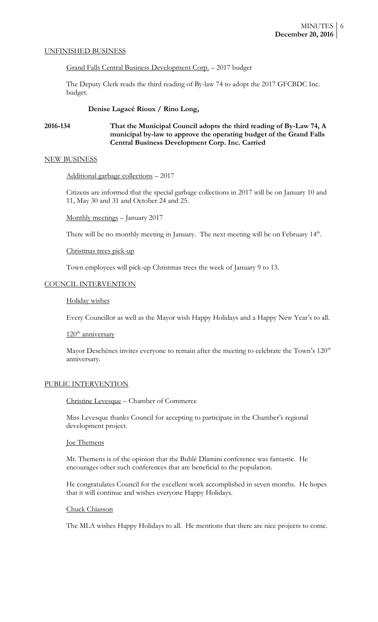### UNFINISHED BUSINESS

Grand Falls Central Business Development Corp. – 2017 budget

The Deputy Clerk reads the third reading of By-law 74 to adopt the 2017 GFCBDC Inc. budget.

### **Denise Lagacé Rioux / Rino Long,**

# **2016-134 That the Municipal Council adopts the third reading of By-Law 74, A municipal by-law to approve the operating budget of the Grand Falls Central Business Development Corp. Inc. Carried**

### NEW BUSINESS

Additional garbage collections – 2017

Citizens are informed that the special garbage collections in 2017 will be on January 10 and 11, May 30 and 31 and October 24 and 25.

Monthly meetings – January 2017

There will be no monthly meeting in January. The next meeting will be on February  $14<sup>th</sup>$ .

### Christmas trees pick-up

Town employees will pick-up Christmas trees the week of January 9 to 13.

### COUNCIL INTERVENTION

Holiday wishes

Every Councillor as well as the Mayor wish Happy Holidays and a Happy New Year's to all.

### 120<sup>th</sup> anniversary

Mayor Deschênes invites everyone to remain after the meeting to celebrate the Town's 120<sup>th</sup> anniversary.

### PUBLIC INTERVENTION

## Christine Levesque – Chamber of Commerce

Miss Levesque thanks Council for accepting to participate in the Chamber's regional development project.

### Joe Themens

Mr. Themens is of the opinion that the Buhlé Dlamini conference was fantastic. He encourages other such conferences that are beneficial to the population.

He congratulates Council for the excellent work accomplished in seven months. He hopes that it will continue and wishes everyone Happy Holidays.

#### Chuck Chiasson

The MLA wishes Happy Holidays to all. He mentions that there are nice projects to come.